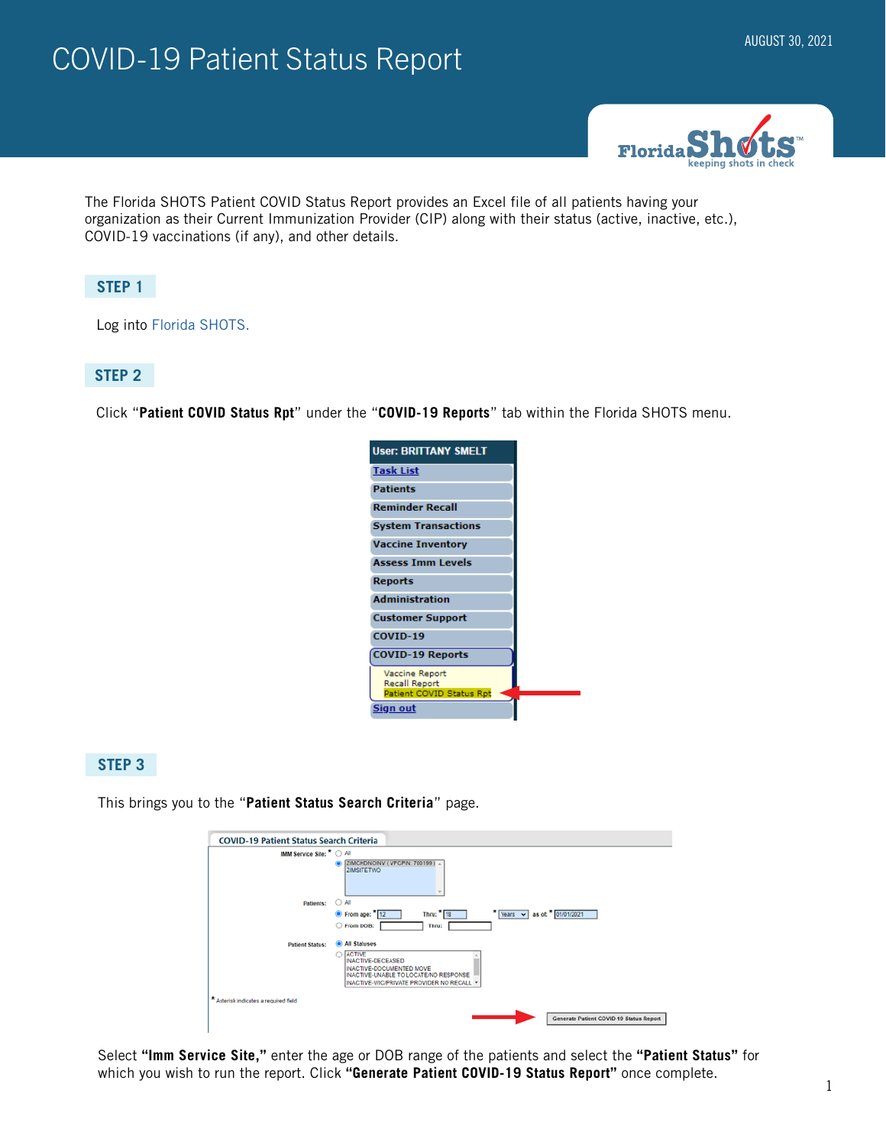# AUGUST 30, 2021



The Florida SHOTS Patient COVID Status Report provides an Excel file of all patients having your organization as their Current Immunization Provider (CIP) along with their status (active, inactive, etc.), COVID-19 vaccinations (if any), and other details.

### **STEP 1**

Log into [Florida SHOTS.](https://www.flshotsusers.com/)

#### **STEP 2**

Click "**Patient COVID Status Rpt**" under the "**COVID-19 Reports**" tab within the Florida SHOTS menu.

| <b>User: BRITTANY SMELT</b>     |  |
|---------------------------------|--|
| <b>Task List</b>                |  |
| <b>Patients</b>                 |  |
| <b>Reminder Recall</b>          |  |
| <b>System Transactions</b>      |  |
| <b>Vaccine Inventory</b>        |  |
| <b>Assess Imm Levels</b>        |  |
| <b>Reports</b>                  |  |
| <b>Administration</b>           |  |
| <b>Customer Support</b>         |  |
| COVID-19                        |  |
| <b>COVID-19 Reports</b>         |  |
| Vaccine Report<br>Recall Report |  |
| Patient COVID Status Rpt        |  |
| <u>Sign out</u>                 |  |

## **STEP 3**

This brings you to the "**Patient Status Search Criteria**" page.

| <b>COVID-19 Patient Status Search Criteria</b> |                                                                                                                                                                  |
|------------------------------------------------|------------------------------------------------------------------------------------------------------------------------------------------------------------------|
| IMM Service Site: <sup>★</sup> ○ All           |                                                                                                                                                                  |
|                                                | ZIMCHDNOINV (VFCPIN: 700199).<br><b>ZIMSITETWO</b><br>$\overline{\phantom{a}}$                                                                                   |
| <b>Patients:</b>                               | $\bigcirc$ All                                                                                                                                                   |
|                                                | $\star$ Years $\star$<br>Thru: $*$ 18<br>$\bullet$ From age: $*$ 12<br>as of: 8 01/01/2021                                                                       |
|                                                | C From DOB:<br>Thru:                                                                                                                                             |
| <b>Patient Status:</b>                         | All Statuses                                                                                                                                                     |
|                                                | <b>ACTIVE</b><br>n<br>INACTIVE-DECEASED<br><b>INACTIVE-DOCUMENTED MOVE</b><br>INACTIVE-UNABLE TO LOCATE/NO RESPONSE<br>INACTIVE-WIC/PRIVATE PROVIDER NO RECALL * |
| * Asterisk indicates a required field          |                                                                                                                                                                  |
|                                                | Generate Patient COVID-19 Status Report                                                                                                                          |

Select **"Imm Service Site,"** enter the age or DOB range of the patients and select the **"Patient Status"** for which you wish to run the report. Click **"Generate Patient COVID-19 Status Report"** once complete.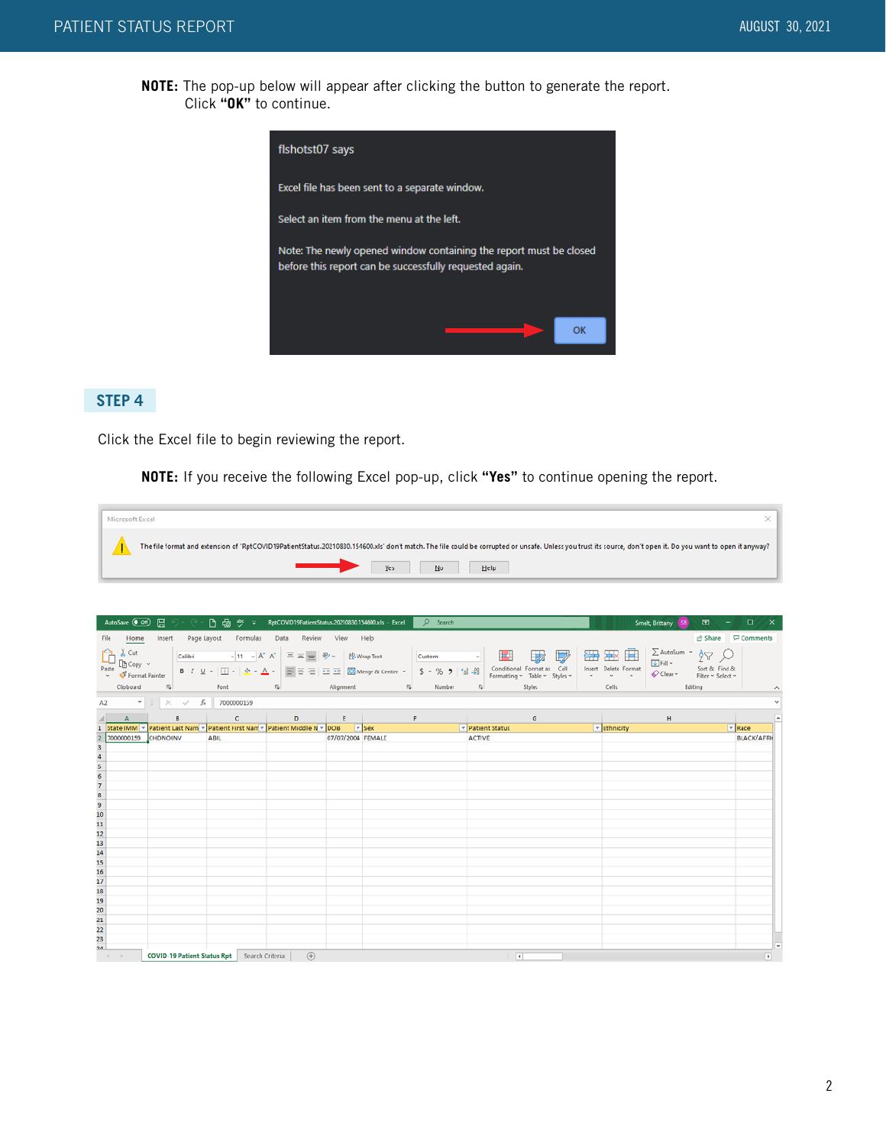**NOTE:** The pop-up below will appear after clicking the button to generate the report. Click **"OK"** to continue.



## **STEP 4**

Click the Excel file to begin reviewing the report.

**NOTE:** If you receive the following Excel pop-up, click **"Yes"** to continue opening the report.

| Microsoft Excel                                                                                                                                                                                                                                      |  |
|------------------------------------------------------------------------------------------------------------------------------------------------------------------------------------------------------------------------------------------------------|--|
| The file format and extension of 'RptCOVID19PatientStatus.20210830.154600.xls' don't match. The file could be corrupted or unsafe. Unless you trust its source, don't open it. Do you want to open it anyway?<br>$\longrightarrow$<br>Yes No<br>Help |  |

|                                                            | AutoSave (OH)                                  |   | <b>□ り く 凸 品 ヴ こ RptCOVID19PatientStatus 20210830.154600.xls - Excel DD Search</b> |            |                   |  |                                             |                        | Smelt, Brittany (SB)                                                              |                                                                     | $\mathbb{E}$ $\mathbb{E}$ $\mathbb{E}$ $\mathbb{E}$ $\mathbb{E}$ $\mathbb{E}$ $\mathbb{E}$ $\mathbb{E}$ $\mathbb{E}$ $\mathbb{E}$ $\mathbb{E}$ $\mathbb{E}$ $\mathbb{E}$ $\mathbb{E}$ $\mathbb{E}$ $\mathbb{E}$ $\mathbb{E}$ $\mathbb{E}$ $\mathbb{E}$ $\mathbb{E}$ $\mathbb{E}$ $\mathbb{E}$ $\mathbb{E}$ $\mathbb{E}$ $\mathbb{$ |
|------------------------------------------------------------|------------------------------------------------|---|------------------------------------------------------------------------------------|------------|-------------------|--|---------------------------------------------|------------------------|-----------------------------------------------------------------------------------|---------------------------------------------------------------------|------------------------------------------------------------------------------------------------------------------------------------------------------------------------------------------------------------------------------------------------------------------------------------------------------------------------------------|
|                                                            | File Home                                      |   | Insert Page Layout Formulas Data Review View Help                                  |            |                   |  |                                             |                        |                                                                                   |                                                                     | d Share □ Comments                                                                                                                                                                                                                                                                                                                 |
|                                                            | Format Painter<br>Clipboard                    |   | [5] Font [5] Alignment [5] Number                                                  |            |                   |  | <b>Executive Styles</b>                     | Cells                  | <b>田田田目 Internet</b> 24<br>$\overline{\mathbf{\diamond}}$ Clear $\sim$<br>Editing | Sort & Find &<br>Filter ~ Select ~<br>the control of the control of | $\boldsymbol{\wedge}$                                                                                                                                                                                                                                                                                                              |
|                                                            |                                                |   | A2 $\bullet$ $\pm$ $\times$ $\checkmark$ $\bar{f}_x$ 7000000159                    |            |                   |  |                                             |                        |                                                                                   |                                                                     |                                                                                                                                                                                                                                                                                                                                    |
|                                                            |                                                |   |                                                                                    |            |                   |  |                                             |                        |                                                                                   |                                                                     |                                                                                                                                                                                                                                                                                                                                    |
|                                                            | $A = 0$                                        | в | 1 State IMM v Patient Last Nam v Patient First Nam v Patient Middle N v DOB v Sex  |            |                   |  | $\mathbf{G}$<br>$\mathbf{F}$ Patient Status | $\mathbf{F}$ Ethnicity | H                                                                                 | $\mathbf{F}$ Race                                                   | $\overline{\phantom{a}}$                                                                                                                                                                                                                                                                                                           |
|                                                            | 7000000159 CHDNOINV                            |   | ABIL                                                                               |            | 07/07/2004 FEMALE |  | <b>ACTIVE</b>                               |                        |                                                                                   |                                                                     | <b>BLACK/AFRIC</b>                                                                                                                                                                                                                                                                                                                 |
|                                                            |                                                |   |                                                                                    |            |                   |  |                                             |                        |                                                                                   |                                                                     |                                                                                                                                                                                                                                                                                                                                    |
|                                                            |                                                |   |                                                                                    |            |                   |  |                                             |                        |                                                                                   |                                                                     |                                                                                                                                                                                                                                                                                                                                    |
|                                                            |                                                |   |                                                                                    |            |                   |  |                                             |                        |                                                                                   |                                                                     |                                                                                                                                                                                                                                                                                                                                    |
|                                                            |                                                |   |                                                                                    |            |                   |  |                                             |                        |                                                                                   |                                                                     |                                                                                                                                                                                                                                                                                                                                    |
|                                                            |                                                |   |                                                                                    |            |                   |  |                                             |                        |                                                                                   |                                                                     |                                                                                                                                                                                                                                                                                                                                    |
|                                                            |                                                |   |                                                                                    |            |                   |  |                                             |                        |                                                                                   |                                                                     |                                                                                                                                                                                                                                                                                                                                    |
|                                                            |                                                |   |                                                                                    |            |                   |  |                                             |                        |                                                                                   |                                                                     |                                                                                                                                                                                                                                                                                                                                    |
|                                                            |                                                |   |                                                                                    |            |                   |  |                                             |                        |                                                                                   |                                                                     |                                                                                                                                                                                                                                                                                                                                    |
|                                                            |                                                |   |                                                                                    |            |                   |  |                                             |                        |                                                                                   |                                                                     |                                                                                                                                                                                                                                                                                                                                    |
|                                                            |                                                |   |                                                                                    |            |                   |  |                                             |                        |                                                                                   |                                                                     |                                                                                                                                                                                                                                                                                                                                    |
|                                                            |                                                |   |                                                                                    |            |                   |  |                                             |                        |                                                                                   |                                                                     |                                                                                                                                                                                                                                                                                                                                    |
|                                                            |                                                |   |                                                                                    |            |                   |  |                                             |                        |                                                                                   |                                                                     |                                                                                                                                                                                                                                                                                                                                    |
|                                                            |                                                |   |                                                                                    |            |                   |  |                                             |                        |                                                                                   |                                                                     |                                                                                                                                                                                                                                                                                                                                    |
|                                                            |                                                |   |                                                                                    |            |                   |  |                                             |                        |                                                                                   |                                                                     |                                                                                                                                                                                                                                                                                                                                    |
| 3 4 5 6 7 8 9 10 11 12 13 14 15 16 17 18 19 20 21 22 23 24 |                                                |   |                                                                                    |            |                   |  |                                             |                        |                                                                                   |                                                                     |                                                                                                                                                                                                                                                                                                                                    |
|                                                            |                                                |   |                                                                                    |            |                   |  |                                             |                        |                                                                                   |                                                                     |                                                                                                                                                                                                                                                                                                                                    |
|                                                            |                                                |   |                                                                                    |            |                   |  |                                             |                        |                                                                                   |                                                                     | $\overline{\phantom{0}}$                                                                                                                                                                                                                                                                                                           |
|                                                            | $\qquad \qquad \mathcal{A} \qquad \mathcal{F}$ |   | <b>COVID-19 Patient Status Rpt</b> Search Criteria                                 | $\circled$ |                   |  | $\frac{1}{2}$                               |                        |                                                                                   |                                                                     | $\overline{E}$                                                                                                                                                                                                                                                                                                                     |